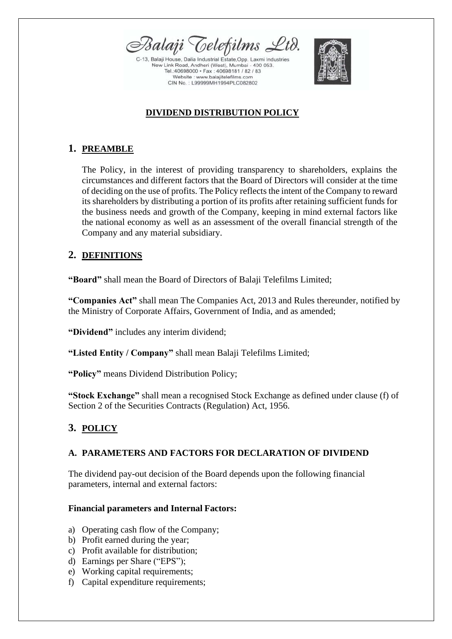

2-13, Balaji House, Dalia Industrial Estate, Opp. Laxmi Industries New Link Road, Andheri (West), Mumbai - 400 053. Tel.:40698000 · Fax: 40698181 / 82 / 83 Website : www.balajitelefilms.com CIN No.: L99999MH1994PLC082802



## **DIVIDEND DISTRIBUTION POLICY**

# **1. PREAMBLE**

The Policy, in the interest of providing transparency to shareholders, explains the circumstances and different factors that the Board of Directors will consider at the time of deciding on the use of profits. The Policy reflects the intent of the Company to reward its shareholders by distributing a portion of its profits after retaining sufficient funds for the business needs and growth of the Company, keeping in mind external factors like the national economy as well as an assessment of the overall financial strength of the Company and any material subsidiary.

# **2. DEFINITIONS**

**"Board"** shall mean the Board of Directors of Balaji Telefilms Limited;

**"Companies Act"** shall mean The Companies Act, 2013 and Rules thereunder, notified by the Ministry of Corporate Affairs, Government of India, and as amended;

**"Dividend"** includes any interim dividend;

**"Listed Entity / Company"** shall mean Balaji Telefilms Limited;

**"Policy"** means Dividend Distribution Policy;

**"Stock Exchange"** shall mean a recognised Stock Exchange as defined under clause (f) of Section 2 of the Securities Contracts (Regulation) Act, 1956.

## **3. POLICY**

## **A. PARAMETERS AND FACTORS FOR DECLARATION OF DIVIDEND**

The dividend pay-out decision of the Board depends upon the following financial parameters, internal and external factors:

### **Financial parameters and Internal Factors:**

- a) Operating cash flow of the Company;
- b) Profit earned during the year;
- c) Profit available for distribution;
- d) Earnings per Share ("EPS");
- e) Working capital requirements;
- f) Capital expenditure requirements;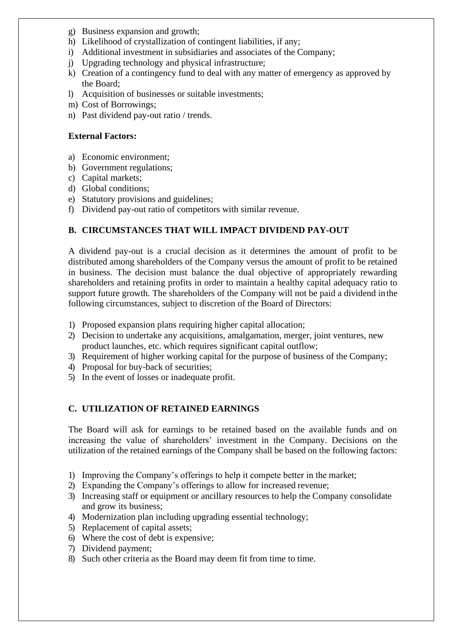- g) Business expansion and growth;
- h) Likelihood of crystallization of contingent liabilities, if any;
- i) Additional investment in subsidiaries and associates of the Company;
- j) Upgrading technology and physical infrastructure;
- k) Creation of a contingency fund to deal with any matter of emergency as approved by the Board;
- l) Acquisition of businesses or suitable investments;
- m) Cost of Borrowings;
- n) Past dividend pay-out ratio / trends.

#### **External Factors:**

- a) Economic environment;
- b) Government regulations;
- c) Capital markets;
- d) Global conditions;
- e) Statutory provisions and guidelines;
- f) Dividend pay-out ratio of competitors with similar revenue.

#### **B. CIRCUMSTANCES THAT WILL IMPACT DIVIDEND PAY-OUT**

A dividend pay-out is a crucial decision as it determines the amount of profit to be distributed among shareholders of the Company versus the amount of profit to be retained in business. The decision must balance the dual objective of appropriately rewarding shareholders and retaining profits in order to maintain a healthy capital adequacy ratio to support future growth. The shareholders of the Company will not be paid a dividend inthe following circumstances, subject to discretion of the Board of Directors:

- 1) Proposed expansion plans requiring higher capital allocation;
- 2) Decision to undertake any acquisitions, amalgamation, merger, joint ventures, new product launches, etc. which requires significant capital outflow;
- 3) Requirement of higher working capital for the purpose of business of the Company;
- 4) Proposal for buy-back of securities;
- 5) In the event of losses or inadequate profit.

#### **C. UTILIZATION OF RETAINED EARNINGS**

The Board will ask for earnings to be retained based on the available funds and on increasing the value of shareholders' investment in the Company. Decisions on the utilization of the retained earnings of the Company shall be based on the following factors:

- 1) Improving the Company's offerings to help it compete better in the market;
- 2) Expanding the Company's offerings to allow for increased revenue;
- 3) Increasing staff or equipment or ancillary resources to help the Company consolidate and grow its business;
- 4) Modernization plan including upgrading essential technology;
- 5) Replacement of capital assets;
- 6) Where the cost of debt is expensive;
- 7) Dividend payment;
- 8) Such other criteria as the Board may deem fit from time to time.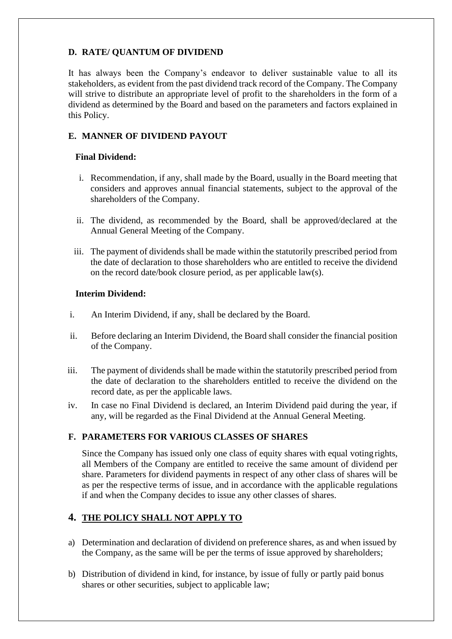#### **D. RATE/ QUANTUM OF DIVIDEND**

It has always been the Company's endeavor to deliver sustainable value to all its stakeholders, as evident from the past dividend track record of the Company. The Company will strive to distribute an appropriate level of profit to the shareholders in the form of a dividend as determined by the Board and based on the parameters and factors explained in this Policy.

#### **E. MANNER OF DIVIDEND PAYOUT**

#### **Final Dividend:**

- i. Recommendation, if any, shall made by the Board, usually in the Board meeting that considers and approves annual financial statements, subject to the approval of the shareholders of the Company.
- ii. The dividend, as recommended by the Board, shall be approved/declared at the Annual General Meeting of the Company.
- iii. The payment of dividends shall be made within the statutorily prescribed period from the date of declaration to those shareholders who are entitled to receive the dividend on the record date/book closure period, as per applicable law(s).

#### **Interim Dividend:**

- i. An Interim Dividend, if any, shall be declared by the Board.
- ii. Before declaring an Interim Dividend, the Board shall consider the financial position of the Company.
- iii. The payment of dividends shall be made within the statutorily prescribed period from the date of declaration to the shareholders entitled to receive the dividend on the record date, as per the applicable laws.
- iv. In case no Final Dividend is declared, an Interim Dividend paid during the year, if any, will be regarded as the Final Dividend at the Annual General Meeting.

### **F. PARAMETERS FOR VARIOUS CLASSES OF SHARES**

Since the Company has issued only one class of equity shares with equal votingrights, all Members of the Company are entitled to receive the same amount of dividend per share. Parameters for dividend payments in respect of any other class of shares will be as per the respective terms of issue, and in accordance with the applicable regulations if and when the Company decides to issue any other classes of shares.

### **4. THE POLICY SHALL NOT APPLY TO**

- a) Determination and declaration of dividend on preference shares, as and when issued by the Company, as the same will be per the terms of issue approved by shareholders;
- b) Distribution of dividend in kind, for instance, by issue of fully or partly paid bonus shares or other securities, subject to applicable law;